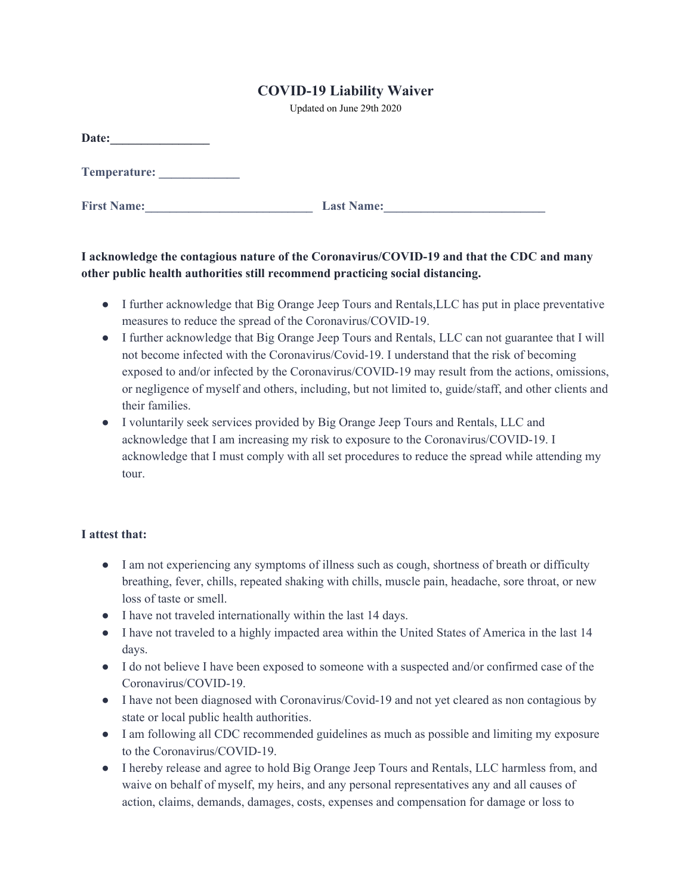## **COVID-19 Liability Waiver**

Updated on June 29th 2020

| Date:              |                   |
|--------------------|-------------------|
| Temperature:       |                   |
| <b>First Name:</b> | <b>Last Name:</b> |

## **I acknowledge the contagious nature of the Coronavirus/COVID-19 and that the CDC and many other public health authorities still recommend practicing social distancing.**

- I further acknowledge that Big Orange Jeep Tours and Rentals,LLC has put in place preventative measures to reduce the spread of the Coronavirus/COVID-19.
- I further acknowledge that Big Orange Jeep Tours and Rentals, LLC can not guarantee that I will not become infected with the Coronavirus/Covid-19. I understand that the risk of becoming exposed to and/or infected by the Coronavirus/COVID-19 may result from the actions, omissions, or negligence of myself and others, including, but not limited to, guide/staff, and other clients and their families.
- I voluntarily seek services provided by Big Orange Jeep Tours and Rentals, LLC and acknowledge that I am increasing my risk to exposure to the Coronavirus/COVID-19. I acknowledge that I must comply with all set procedures to reduce the spread while attending my tour.

## **I attest that:**

- I am not experiencing any symptoms of illness such as cough, shortness of breath or difficulty breathing, fever, chills, repeated shaking with chills, muscle pain, headache, sore throat, or new loss of taste or smell.
- I have not traveled internationally within the last 14 days.
- I have not traveled to a highly impacted area within the United States of America in the last 14 days.
- I do not believe I have been exposed to someone with a suspected and/or confirmed case of the Coronavirus/COVID-19.
- I have not been diagnosed with Coronavirus/Covid-19 and not yet cleared as non contagious by state or local public health authorities.
- I am following all CDC recommended guidelines as much as possible and limiting my exposure to the Coronavirus/COVID-19.
- I hereby release and agree to hold Big Orange Jeep Tours and Rentals, LLC harmless from, and waive on behalf of myself, my heirs, and any personal representatives any and all causes of action, claims, demands, damages, costs, expenses and compensation for damage or loss to